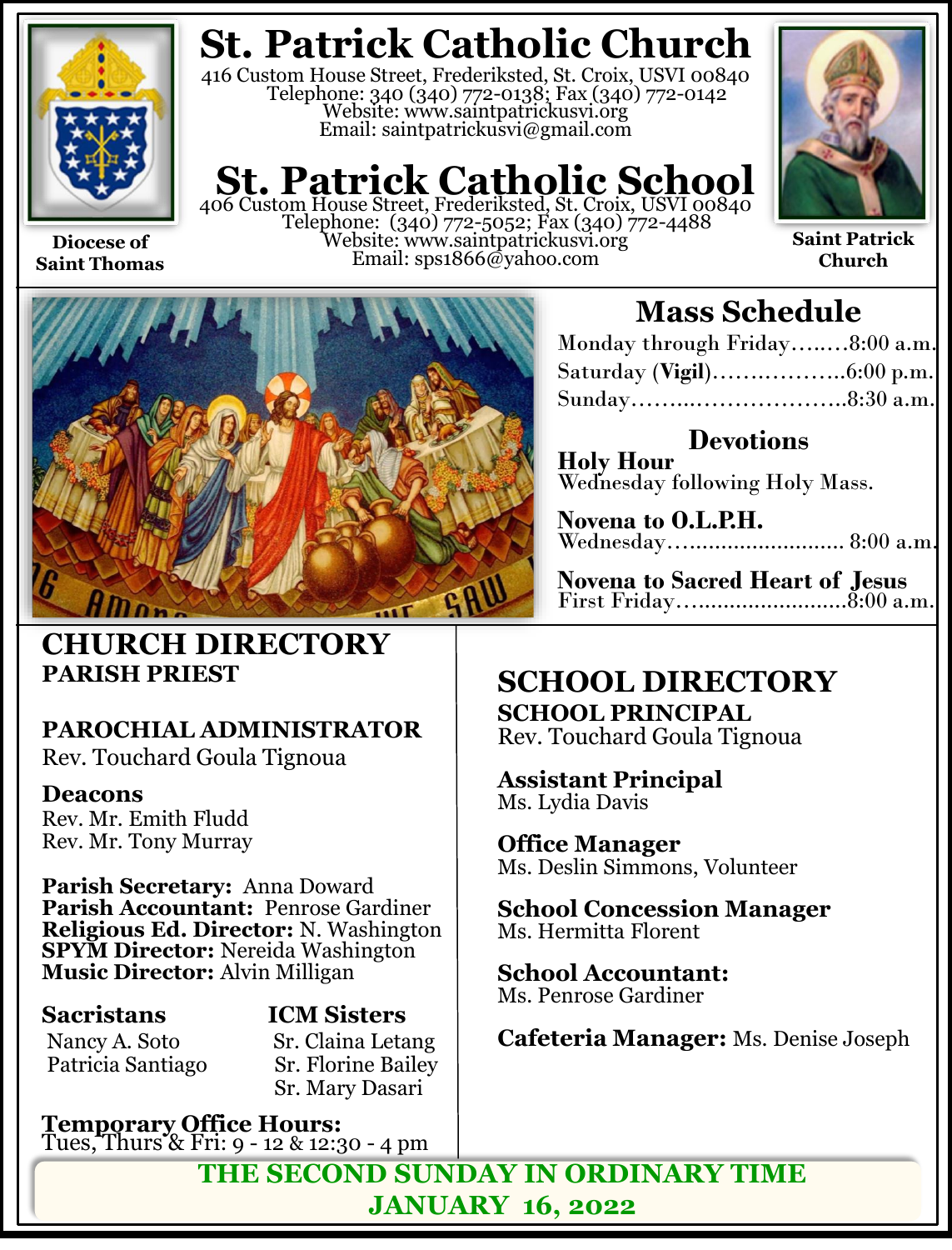

**Diocese of Saint Thomas**

## **St. Patrick Catholic Church**

416 Custom House Street, Frederiksted, St. Croix, USVI 00840 Telephone: 340 (340) 772-0138; Fax (340) 772-0142 Website: www.saintpatrickusvi.org Email: saintpatrickusvi@gmail.com

# **St. Patrick Catholic School** 406 Custom House Street, Frederiksted, St. Croix, USVI 00840

Telephone: (340) 772-5052; Fax (340) 772-4488 Website: www.saintpatrickusvi.org Email: sps1866@yahoo.com



**Saint Patrick Church**



### **CHURCH DIRECTORY PARISH PRIEST**

### **PAROCHIAL ADMINISTRATOR**

Rev. Touchard Goula Tignoua

### **Deacons**

Rev. Mr. Emith Fludd Rev. Mr. Tony Murray

**Parish Secretary:** Anna Doward **Parish Accountant:** Penrose Gardiner **Religious Ed. Director:** N. Washington **SPYM Director:** Nereida Washington **Music Director:** Alvin Milligan

### **Sacristans ICM Sisters**

Nancy A. Soto Sr. Claina Letang<br>Patricia Santiago Sr. Florine Bailey Sr. Florine Bailey Sr. Mary Dasari

**Temporary Office Hours:**  Tues, Thurs & Fri: 9 - 12 & 12:30 - 4 pm

## **Mass Schedule**

| Monday through Friday8:00 a.m. |  |
|--------------------------------|--|
|                                |  |
|                                |  |

**Devotions Holy Hour**  Wednesday following Holy Mass.

**Novena to O.L.P.H.** Wednesday…......................... 8:00 a.m.

**Novena to Sacred Heart of Jesus** First Friday…........................8:00 a.m.

### **SCHOOL DIRECTORY SCHOOL PRINCIPAL**

Rev. Touchard Goula Tignoua

**Assistant Principal** Ms. Lydia Davis

**Office Manager** Ms. Deslin Simmons, Volunteer

**School Concession Manager** Ms. Hermitta Florent

**School Accountant:**  Ms. Penrose Gardiner

**Cafeteria Manager:** Ms. Denise Joseph

**THE SECOND SUNDAY IN ORDINARY TIME JANUARY 16, 2022**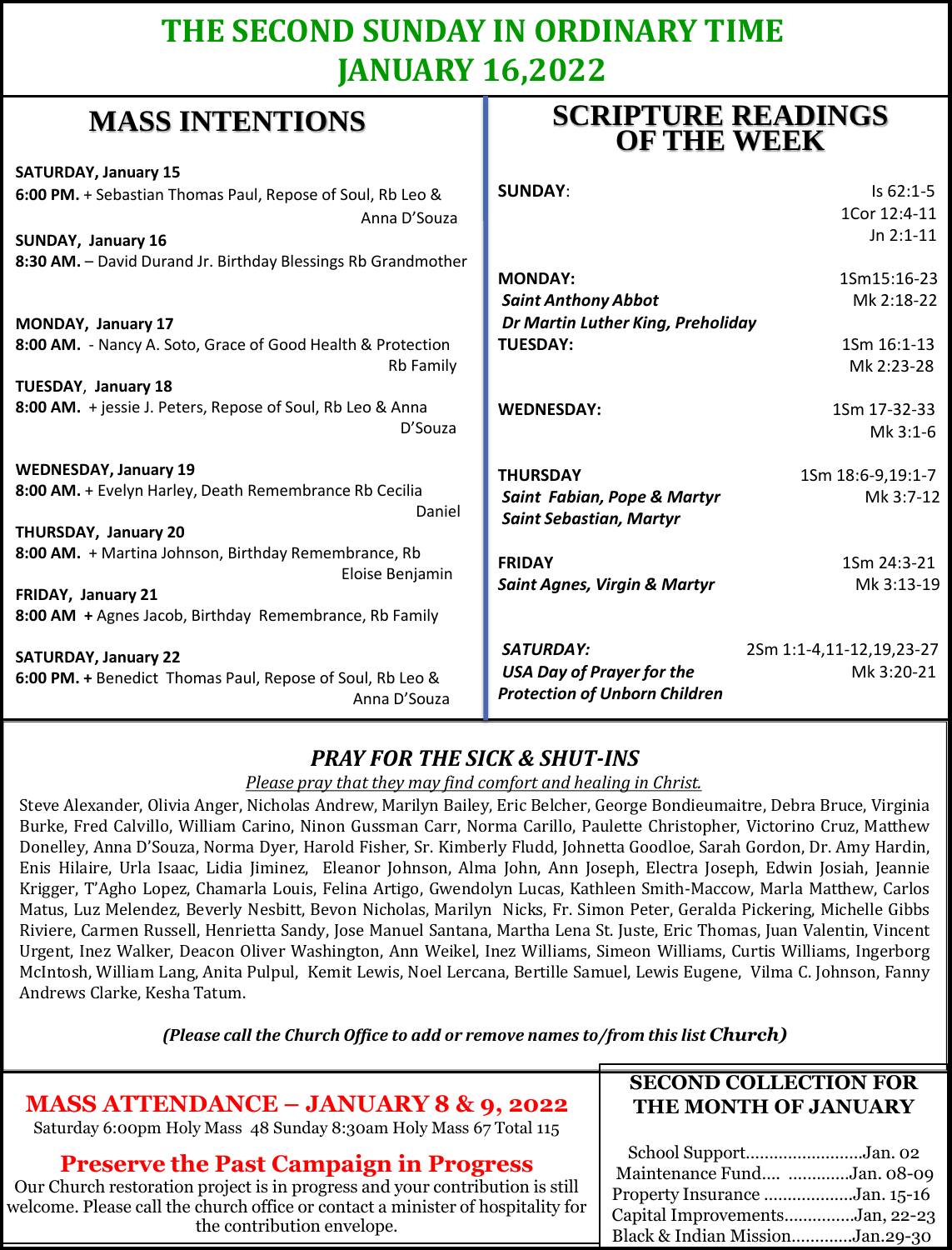### **THE SECOND SUNDAY IN ORDINARY TIME JANUARY 16,2022**

**SCRIPTURE READINGS** 

### **MASS INTENTIONS**

| where him had a holid                                            | <b>OF THE WEEK</b>                                            |                   |
|------------------------------------------------------------------|---------------------------------------------------------------|-------------------|
| <b>SATURDAY, January 15</b>                                      |                                                               |                   |
| 6:00 PM. + Sebastian Thomas Paul, Repose of Soul, Rb Leo &       | <b>SUNDAY:</b>                                                | Is 62:1-5         |
| Anna D'Souza                                                     |                                                               | 1Cor 12:4-11      |
| SUNDAY, January 16                                               |                                                               | Jn $2:1-11$       |
| 8:30 AM. - David Durand Jr. Birthday Blessings Rb Grandmother    |                                                               |                   |
|                                                                  | <b>MONDAY:</b>                                                | 1Sm15:16-23       |
|                                                                  | <b>Saint Anthony Abbot</b>                                    | Mk 2:18-22        |
| MONDAY, January 17                                               | Dr Martin Luther King, Preholiday                             |                   |
| 8:00 AM. - Nancy A. Soto, Grace of Good Health & Protection      | <b>TUESDAY:</b>                                               | 1Sm 16:1-13       |
| <b>Rb Family</b>                                                 |                                                               | Mk 2:23-28        |
| <b>TUESDAY, January 18</b>                                       |                                                               |                   |
| 8:00 AM. + jessie J. Peters, Repose of Soul, Rb Leo & Anna       | <b>WEDNESDAY:</b>                                             | 1Sm 17-32-33      |
| D'Souza                                                          |                                                               | Mk 3:1-6          |
| <b>WEDNESDAY, January 19</b>                                     | <b>THURSDAY</b>                                               | 1Sm 18:6-9,19:1-7 |
| 8:00 AM. + Evelyn Harley, Death Remembrance Rb Cecilia<br>Daniel | Saint Fabian, Pope & Martyr<br><b>Saint Sebastian, Martyr</b> | Mk 3:7-12         |
| THURSDAY, January 20                                             |                                                               |                   |
| 8:00 AM. + Martina Johnson, Birthday Remembrance, Rb             | <b>FRIDAY</b>                                                 | 1Sm 24:3-21       |
| Eloise Benjamin                                                  | <b>Saint Agnes, Virgin &amp; Martyr</b>                       | Mk 3:13-19        |
| FRIDAY, January 21                                               |                                                               |                   |
| 8:00 AM + Agnes Jacob, Birthday Remembrance, Rb Family           |                                                               |                   |
| <b>SATURDAY, January 22</b>                                      | SATURDAY:<br>2Sm 1:1-4,11-12,19,23-27                         |                   |
| 6:00 PM. + Benedict Thomas Paul, Repose of Soul, Rb Leo &        | <b>USA Day of Prayer for the</b>                              | Mk 3:20-21        |
| Anna D'Souza                                                     | <b>Protection of Unborn Children</b>                          |                   |

### *PRAY FOR THE SICK & SHUT-INS*

*Please pray that they may find comfort and healing in Christ.*

Steve Alexander, Olivia Anger, Nicholas Andrew, Marilyn Bailey, Eric Belcher, George Bondieumaitre, Debra Bruce, Virginia Burke, Fred Calvillo, William Carino, Ninon Gussman Carr, Norma Carillo, Paulette Christopher, Victorino Cruz, Matthew Donelley, Anna D'Souza, Norma Dyer, Harold Fisher, Sr. Kimberly Fludd, Johnetta Goodloe, Sarah Gordon, Dr. Amy Hardin, Enis Hilaire, Urla Isaac, Lidia Jiminez, Eleanor Johnson, Alma John, Ann Joseph, Electra Joseph, Edwin Josiah, Jeannie Krigger, T'Agho Lopez, Chamarla Louis, Felina Artigo, Gwendolyn Lucas, Kathleen Smith-Maccow, Marla Matthew, Carlos Matus, Luz Melendez, Beverly Nesbitt, Bevon Nicholas, Marilyn Nicks, Fr. Simon Peter, Geralda Pickering, Michelle Gibbs Riviere, Carmen Russell, Henrietta Sandy, Jose Manuel Santana, Martha Lena St. Juste, Eric Thomas, Juan Valentin, Vincent Urgent, Inez Walker, Deacon Oliver Washington, Ann Weikel, Inez Williams, Simeon Williams, Curtis Williams, Ingerborg McIntosh, William Lang, Anita Pulpul, Kemit Lewis, Noel Lercana, Bertille Samuel, Lewis Eugene, Vilma C. Johnson, Fanny Andrews Clarke, Kesha Tatum.

*(Please call the Church Office to add or remove names to/from this list Church)*

| <b>MASS ATTENDANCE - JANUARY 8 &amp; 9, 2022</b>                                                                                                                                                                                               | <b>SECOND COLLECTION FOR</b>                                                                                                                               |
|------------------------------------------------------------------------------------------------------------------------------------------------------------------------------------------------------------------------------------------------|------------------------------------------------------------------------------------------------------------------------------------------------------------|
| Saturday 6:00pm Holy Mass 48 Sunday 8:30am Holy Mass 67 Total 115                                                                                                                                                                              | THE MONTH OF JANUARY                                                                                                                                       |
| <b>Preserve the Past Campaign in Progress</b><br>Our Church restoration project is in progress and your contribution is still<br>welcome. Please call the church office or contact a minister of hospitality for<br>the contribution envelope. | School SupportJan. 02<br>Maintenance Fund Jan. 08-09<br>Property Insurance Jan. 15-16<br>Capital ImprovementsJan, 22-23<br>Black & Indian MissionJan.29-30 |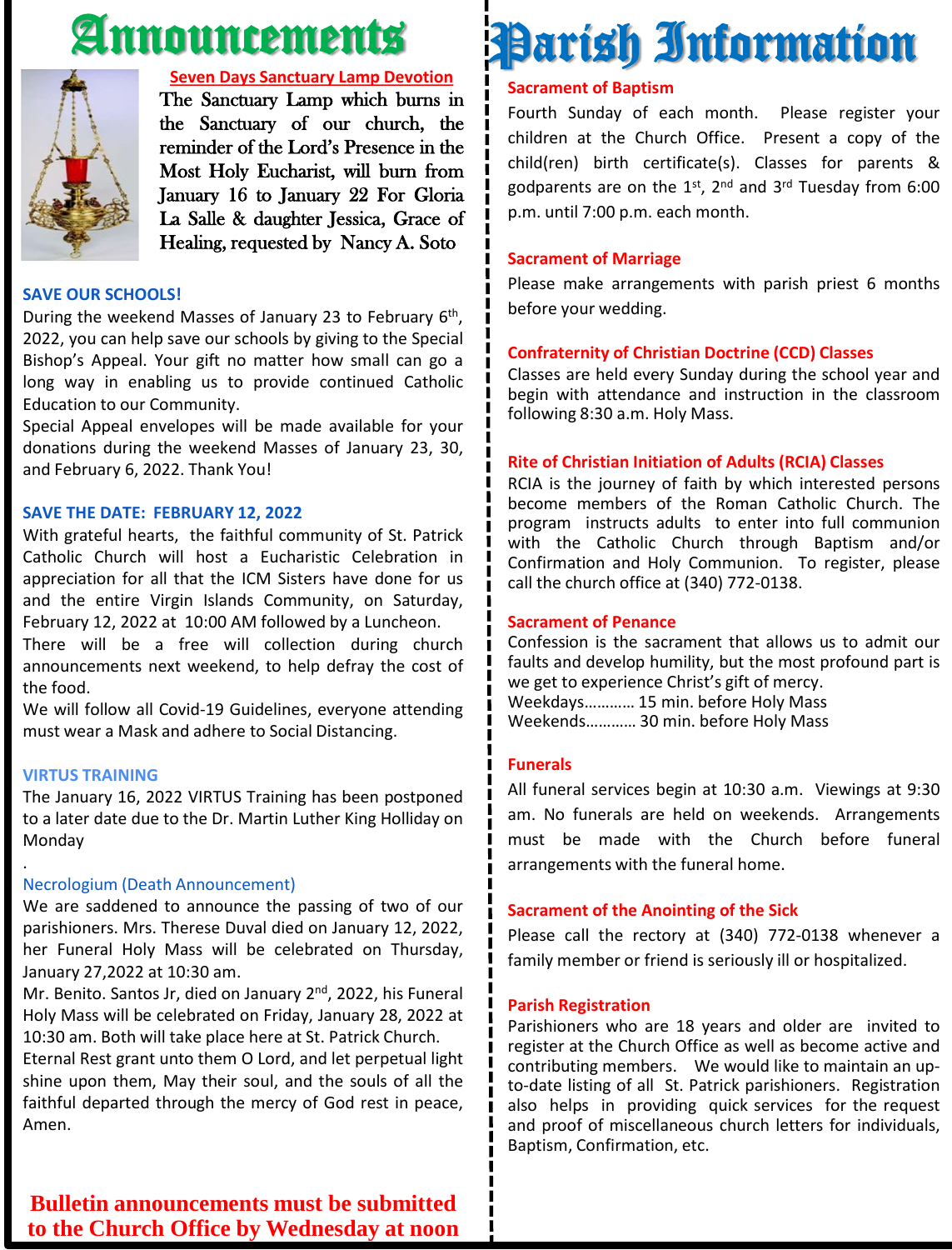## Announcements



#### **Seven Days Sanctuary Lamp Devotion**

The Sanctuary Lamp which burns in the Sanctuary of our church, the reminder of the Lord's Presence in the Most Holy Eucharist, will burn from January 16 to January 22 For Gloria La Salle & daughter Jessica, Grace of Healing, requested by Nancy A. Soto

#### **SAVE OUR SCHOOLS!**

During the weekend Masses of January 23 to February 6<sup>th</sup>, 2022, you can help save our schools by giving to the Special Bishop's Appeal. Your gift no matter how small can go a long way in enabling us to provide continued Catholic Education to our Community.

Special Appeal envelopes will be made available for your donations during the weekend Masses of January 23, 30, and February 6, 2022. Thank You!

#### **SAVE THE DATE: FEBRUARY 12, 2022**

With grateful hearts, the faithful community of St. Patrick Catholic Church will host a Eucharistic Celebration in appreciation for all that the ICM Sisters have done for us and the entire Virgin Islands Community, on Saturday, February 12, 2022 at 10:00 AM followed by a Luncheon.

There will be a free will collection during church announcements next weekend, to help defray the cost of the food.

We will follow all Covid-19 Guidelines, everyone attending must wear a Mask and adhere to Social Distancing.

#### **VIRTUS TRAINING**

.

The January 16, 2022 VIRTUS Training has been postponed to a later date due to the Dr. Martin Luther King Holliday on Monday

#### Necrologium (Death Announcement)

We are saddened to announce the passing of two of our parishioners. Mrs. Therese Duval died on January 12, 2022, her Funeral Holy Mass will be celebrated on Thursday, January 27,2022 at 10:30 am.

Mr. Benito. Santos Jr, died on January 2<sup>nd</sup>, 2022, his Funeral Holy Mass will be celebrated on Friday, January 28, 2022 at 10:30 am. Both will take place here at St. Patrick Church.

Eternal Rest grant unto them O Lord, and let perpetual light shine upon them, May their soul, and the souls of all the faithful departed through the mercy of God rest in peace, Amen.

#### **Sacrament of Baptism** Fourth Sunday of each month. Please register your children at the Church Office. Present a copy of the

child(ren) birth certificate(s). Classes for parents & godparents are on the 1st, 2<sup>nd</sup> and 3<sup>rd</sup> Tuesday from 6:00 p.m. until 7:00 p.m. each month.

Parish Information

#### **Sacrament of Marriage**

Please make arrangements with parish priest 6 months before your wedding.

#### **Confraternity of Christian Doctrine (CCD) Classes**

Classes are held every Sunday during the school year and begin with attendance and instruction in the classroom following 8:30 a.m. Holy Mass.

#### **Rite of Christian Initiation of Adults (RCIA) Classes**

RCIA is the journey of faith by which interested persons become members of the Roman Catholic Church. The program instructs adults to enter into full communion with the Catholic Church through Baptism and/or Confirmation and Holy Communion. To register, please call the church office at (340) 772-0138.

#### **Sacrament of Penance**

Confession is the sacrament that allows us to admit our faults and develop humility, but the most profound part is we get to experience Christ's gift of mercy. Weekdays………… 15 min. before Holy Mass Weekends………… 30 min. before Holy Mass

#### **Funerals**

All funeral services begin at 10:30 a.m. Viewings at 9:30 am. No funerals are held on weekends. Arrangements must be made with the Church before funeral arrangements with the funeral home.

#### **Sacrament of the Anointing of the Sick**

Please call the rectory at (340) 772-0138 whenever a family member or friend is seriously ill or hospitalized.

#### **Parish Registration**

Parishioners who are 18 years and older are invited to register at the Church Office as well as become active and contributing members. We would like to maintain an upto-date listing of all St. Patrick parishioners. Registration also helps in providing quick services for the request and proof of miscellaneous church letters for individuals, Baptism, Confirmation, etc.

**Bulletin announcements must be submitted to the Church Office by Wednesday at noon**